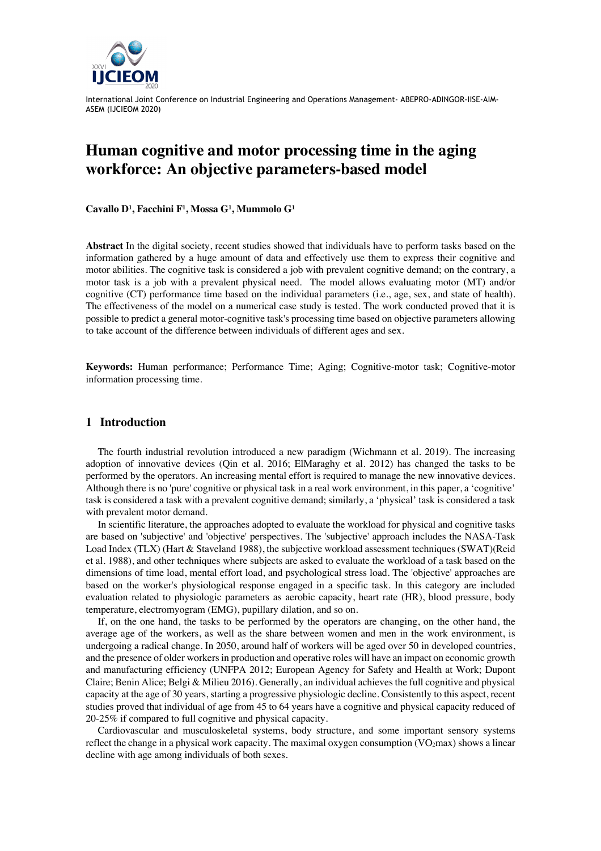

# **Human cognitive and motor processing time in the aging workforce: An objective parameters-based model**

**Cavallo D1 , Facchini F1 , Mossa G1 , Mummolo G1**

**Abstract** In the digital society, recent studies showed that individuals have to perform tasks based on the information gathered by a huge amount of data and effectively use them to express their cognitive and motor abilities. The cognitive task is considered a job with prevalent cognitive demand; on the contrary, a motor task is a job with a prevalent physical need. The model allows evaluating motor (MT) and/or cognitive (CT) performance time based on the individual parameters (i.e., age, sex, and state of health). The effectiveness of the model on a numerical case study is tested. The work conducted proved that it is possible to predict a general motor-cognitive task's processing time based on objective parameters allowing to take account of the difference between individuals of different ages and sex.

**Keywords:** Human performance; Performance Time; Aging; Cognitive-motor task; Cognitive-motor information processing time.

## **1 Introduction**

The fourth industrial revolution introduced a new paradigm (Wichmann et al. 2019). The increasing adoption of innovative devices (Qin et al. 2016; ElMaraghy et al. 2012) has changed the tasks to be performed by the operators. An increasing mental effort is required to manage the new innovative devices. Although there is no 'pure' cognitive or physical task in a real work environment, in this paper, a 'cognitive' task is considered a task with a prevalent cognitive demand; similarly, a 'physical' task is considered a task with prevalent motor demand.

In scientific literature, the approaches adopted to evaluate the workload for physical and cognitive tasks are based on 'subjective' and 'objective' perspectives. The 'subjective' approach includes the NASA-Task Load Index (TLX) (Hart & Staveland 1988), the subjective workload assessment techniques (SWAT)(Reid et al. 1988), and other techniques where subjects are asked to evaluate the workload of a task based on the dimensions of time load, mental effort load, and psychological stress load. The 'objective' approaches are based on the worker's physiological response engaged in a specific task. In this category are included evaluation related to physiologic parameters as aerobic capacity, heart rate (HR), blood pressure, body temperature, electromyogram (EMG), pupillary dilation, and so on.

If, on the one hand, the tasks to be performed by the operators are changing, on the other hand, the average age of the workers, as well as the share between women and men in the work environment, is undergoing a radical change. In 2050, around half of workers will be aged over 50 in developed countries, and the presence of older workers in production and operative roles will have an impact on economic growth and manufacturing efficiency (UNFPA 2012; European Agency for Safety and Health at Work; Dupont Claire; Benin Alice; Belgi & Milieu 2016). Generally, an individual achieves the full cognitive and physical capacity at the age of 30 years, starting a progressive physiologic decline. Consistently to this aspect, recent studies proved that individual of age from 45 to 64 years have a cognitive and physical capacity reduced of 20-25% if compared to full cognitive and physical capacity.

Cardiovascular and musculoskeletal systems, body structure, and some important sensory systems reflect the change in a physical work capacity. The maximal oxygen consumption  $(VO<sub>2</sub>max)$  shows a linear decline with age among individuals of both sexes.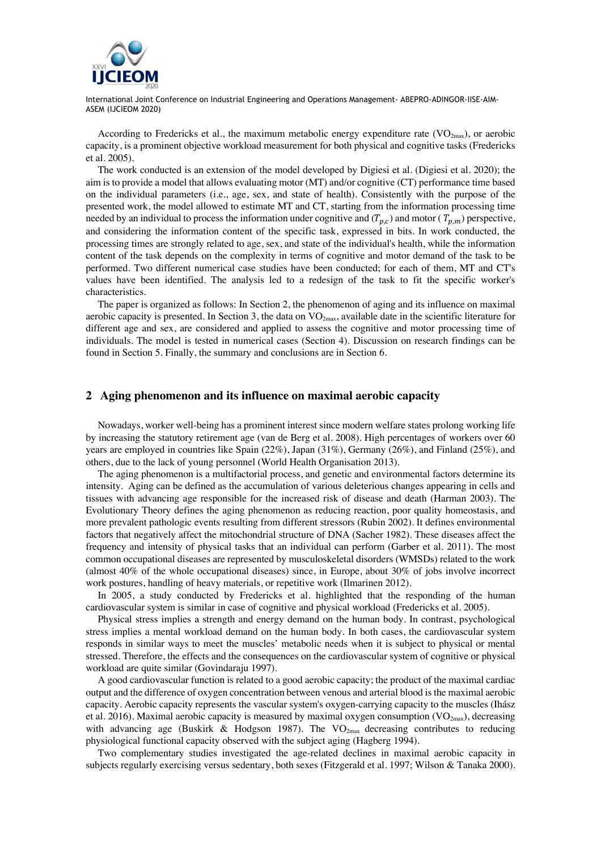

According to Fredericks et al., the maximum metabolic energy expenditure rate  $(VO_{2max})$ , or aerobic capacity, is a prominent objective workload measurement for both physical and cognitive tasks (Fredericks et al. 2005).

The work conducted is an extension of the model developed by Digiesi et al. (Digiesi et al. 2020); the aim is to provide a model that allows evaluating motor (MT) and/or cognitive (CT) performance time based on the individual parameters (i.e., age, sex, and state of health). Consistently with the purpose of the presented work, the model allowed to estimate MT and CT, starting from the information processing time needed by an individual to process the information under cognitive and  $(T_{p,c})$  and motor ( $T_{p,m}$ ) perspective, and considering the information content of the specific task, expressed in bits. In work conducted, the processing times are strongly related to age, sex, and state of the individual's health, while the information content of the task depends on the complexity in terms of cognitive and motor demand of the task to be performed. Two different numerical case studies have been conducted; for each of them, MT and CT's values have been identified. The analysis led to a redesign of the task to fit the specific worker's characteristics.

The paper is organized as follows: In Section 2, the phenomenon of aging and its influence on maximal aerobic capacity is presented. In Section 3, the data on  $VO_{2max}$ , available date in the scientific literature for different age and sex, are considered and applied to assess the cognitive and motor processing time of individuals. The model is tested in numerical cases (Section 4). Discussion on research findings can be found in Section 5. Finally, the summary and conclusions are in Section 6.

## **2 Aging phenomenon and its influence on maximal aerobic capacity**

Nowadays, worker well-being has a prominent interest since modern welfare states prolong working life by increasing the statutory retirement age (van de Berg et al. 2008). High percentages of workers over 60 years are employed in countries like Spain (22%), Japan (31%), Germany (26%), and Finland (25%), and others, due to the lack of young personnel (World Health Organisation 2013).

The aging phenomenon is a multifactorial process, and genetic and environmental factors determine its intensity. Aging can be defined as the accumulation of various deleterious changes appearing in cells and tissues with advancing age responsible for the increased risk of disease and death (Harman 2003). The Evolutionary Theory defines the aging phenomenon as reducing reaction, poor quality homeostasis, and more prevalent pathologic events resulting from different stressors (Rubin 2002). It defines environmental factors that negatively affect the mitochondrial structure of DNA (Sacher 1982). These diseases affect the frequency and intensity of physical tasks that an individual can perform (Garber et al. 2011). The most common occupational diseases are represented by musculoskeletal disorders (WMSDs) related to the work (almost 40% of the whole occupational diseases) since, in Europe, about 30% of jobs involve incorrect work postures, handling of heavy materials, or repetitive work (Ilmarinen 2012).

In 2005, a study conducted by Fredericks et al. highlighted that the responding of the human cardiovascular system is similar in case of cognitive and physical workload (Fredericks et al. 2005).

Physical stress implies a strength and energy demand on the human body. In contrast, psychological stress implies a mental workload demand on the human body. In both cases, the cardiovascular system responds in similar ways to meet the muscles' metabolic needs when it is subject to physical or mental stressed. Therefore, the effects and the consequences on the cardiovascular system of cognitive or physical workload are quite similar (Govindaraju 1997).

A good cardiovascular function is related to a good aerobic capacity; the product of the maximal cardiac output and the difference of oxygen concentration between venous and arterial blood is the maximal aerobic capacity. Aerobic capacity represents the vascular system's oxygen-carrying capacity to the muscles (Ihász et al. 2016). Maximal aerobic capacity is measured by maximal oxygen consumption ( $VO<sub>2max</sub>$ ), decreasing with advancing age (Buskirk & Hodgson 1987). The  $VO_{2max}$  decreasing contributes to reducing physiological functional capacity observed with the subject aging (Hagberg 1994).

Two complementary studies investigated the age-related declines in maximal aerobic capacity in subjects regularly exercising versus sedentary, both sexes (Fitzgerald et al. 1997; Wilson & Tanaka 2000).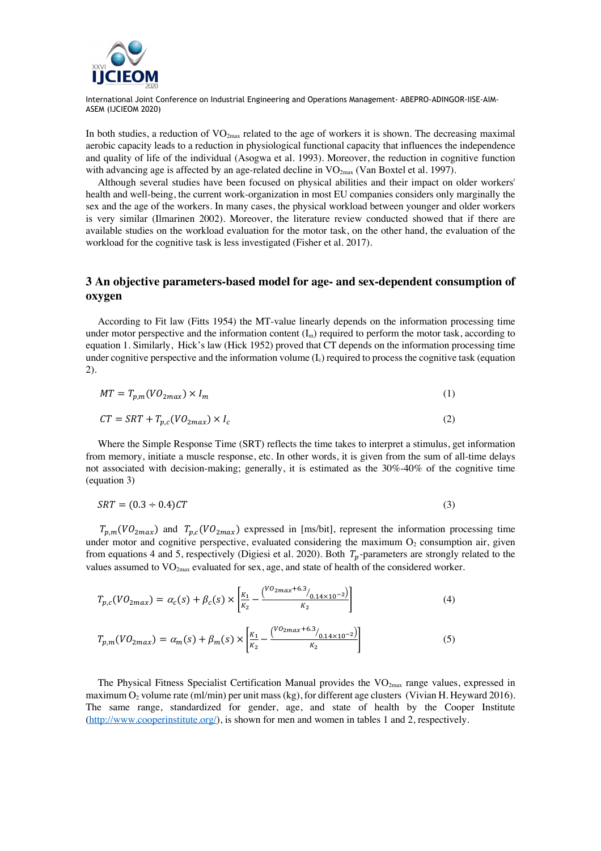

In both studies, a reduction of  $VO_{2\text{max}}$  related to the age of workers it is shown. The decreasing maximal aerobic capacity leads to a reduction in physiological functional capacity that influences the independence and quality of life of the individual (Asogwa et al. 1993). Moreover, the reduction in cognitive function with advancing age is affected by an age-related decline in  $VO_{2max}$  (Van Boxtel et al. 1997).

Although several studies have been focused on physical abilities and their impact on older workers' health and well-being, the current work-organization in most EU companies considers only marginally the sex and the age of the workers. In many cases, the physical workload between younger and older workers is very similar (Ilmarinen 2002). Moreover, the literature review conducted showed that if there are available studies on the workload evaluation for the motor task, on the other hand, the evaluation of the workload for the cognitive task is less investigated (Fisher et al. 2017).

# **3 An objective parameters-based model for age- and sex-dependent consumption of oxygen**

According to Fit law (Fitts 1954) the MT-value linearly depends on the information processing time under motor perspective and the information content  $(I_m)$  required to perform the motor task, according to equation 1. Similarly, Hick's law (Hick 1952) proved that CT depends on the information processing time under cognitive perspective and the information volume  $(I_c)$  required to process the cognitive task (equation 2).

$$
MT = T_{p,m}(VO_{2max}) \times I_m
$$
 (1)

$$
CT = SRT + T_{p,c}(VO_{2max}) \times I_c
$$
\n<sup>(2)</sup>

Where the Simple Response Time (SRT) reflects the time takes to interpret a stimulus, get information from memory, initiate a muscle response, etc. In other words, it is given from the sum of all-time delays not associated with decision-making; generally, it is estimated as the 30%-40% of the cognitive time (equation 3)

$$
SRT = (0.3 \div 0.4)CT
$$
\n<sup>(3)</sup>

 $T_{p,m}(VO_{2max})$  and  $T_{p,c}(VO_{2max})$  expressed in [ms/bit], represent the information processing time under motor and cognitive perspective, evaluated considering the maximum  $O_2$  consumption air, given from equations 4 and 5, respectively (Digiesi et al. 2020). Both  $T_p$ -parameters are strongly related to the values assumed to  $VO_{2max}$  evaluated for sex, age, and state of health of the considered worker.

$$
T_{p,c}(VO_{2max}) = \alpha_c(s) + \beta_c(s) \times \left[\frac{\kappa_1}{\kappa_2} - \frac{\binom{VO_{2max}+6.3}{0.14 \times 10^{-2}}}{\kappa_2}\right]
$$
(4)

$$
T_{p,m}(VO_{2max}) = \alpha_m(s) + \beta_m(s) \times \left[\frac{\kappa_1}{\kappa_2} - \frac{\left(\frac{VO_{2max} + 6.3}{O_{0.14 \times 10^{-2}}}\right)}{\kappa_2}\right]
$$
(5)

The Physical Fitness Specialist Certification Manual provides the  $VO<sub>2max</sub>$  range values, expressed in maximum  $O_2$  volume rate (ml/min) per unit mass (kg), for different age clusters (Vivian H. Heyward 2016). The same range, standardized for gender, age, and state of health by the Cooper Institute  $(\frac{http://www.cooperinstitute.org/}{http://www.cooperinstitute.org/}{)$ , is shown for men and women in tables 1 and 2, respectively.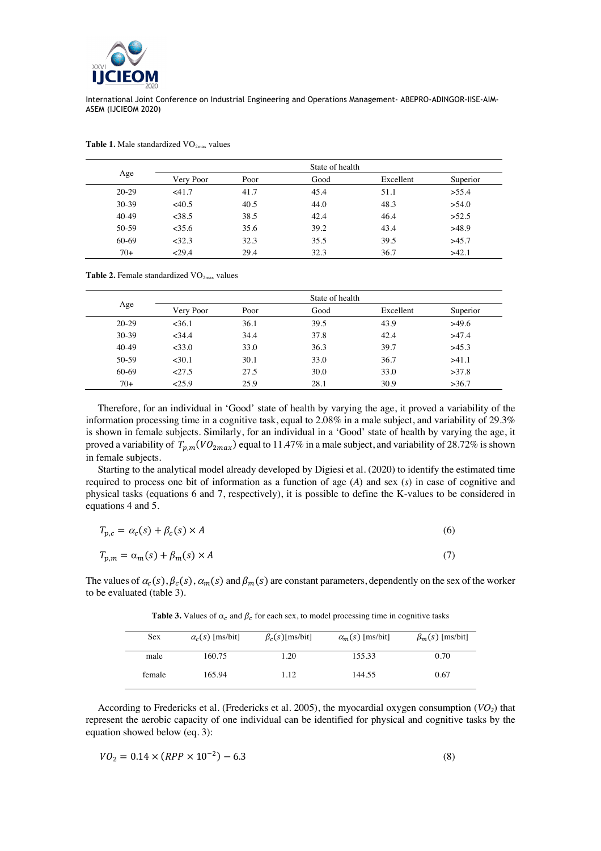

|         | State of health |      |      |           |          |  |  |  |  |
|---------|-----------------|------|------|-----------|----------|--|--|--|--|
| Age     | Very Poor       | Poor | Good | Excellent | Superior |  |  |  |  |
| $20-29$ | $<$ 41.7        | 41.7 | 45.4 | 51.1      | > 55.4   |  |  |  |  |
| $30-39$ | <40.5           | 40.5 | 44.0 | 48.3      | >54.0    |  |  |  |  |
| $40-49$ | <38.5           | 38.5 | 42.4 | 46.4      | >52.5    |  |  |  |  |
| $50-59$ | $<$ 35.6        | 35.6 | 39.2 | 43.4      | >48.9    |  |  |  |  |
| 60-69   | <32.3           | 32.3 | 35.5 | 39.5      | >45.7    |  |  |  |  |
| $70+$   | 29.4            | 29.4 | 32.3 | 36.7      | >42.1    |  |  |  |  |

Table 1. Male standardized VO<sub>2max</sub> values

Table 2. Female standardized VO<sub>2max</sub> values

|         | State of health |      |      |           |          |  |  |  |  |  |
|---------|-----------------|------|------|-----------|----------|--|--|--|--|--|
| Age     | Very Poor       | Poor | Good | Excellent | Superior |  |  |  |  |  |
| $20-29$ | $<$ 36.1        | 36.1 | 39.5 | 43.9      | >49.6    |  |  |  |  |  |
| $30-39$ | <34.4           | 34.4 | 37.8 | 42.4      | >47.4    |  |  |  |  |  |
| $40-49$ | <33.0           | 33.0 | 36.3 | 39.7      | >45.3    |  |  |  |  |  |
| $50-59$ | $30.1$          | 30.1 | 33.0 | 36.7      | >41.1    |  |  |  |  |  |
| 60-69   | 27.5            | 27.5 | 30.0 | 33.0      | >37.8    |  |  |  |  |  |
| $70+$   | 25.9            | 25.9 | 28.1 | 30.9      | >36.7    |  |  |  |  |  |

Therefore, for an individual in 'Good' state of health by varying the age, it proved a variability of the information processing time in a cognitive task, equal to 2.08% in a male subject, and variability of 29.3% is shown in female subjects. Similarly, for an individual in a 'Good' state of health by varying the age, it proved a variability of  $T_{p,m}(VO_{2max})$  equal to 11.47% in a male subject, and variability of 28.72% is shown in female subjects.

Starting to the analytical model already developed by Digiesi et al. (2020) to identify the estimated time required to process one bit of information as a function of age (*A*) and sex (*s*) in case of cognitive and physical tasks (equations 6 and 7, respectively), it is possible to define the K-values to be considered in equations 4 and 5.

| $T_{p,c} = \alpha_c(s) + \beta_c(s) \times A$ | (6) |
|-----------------------------------------------|-----|
| $T_{p,m} = \alpha_m(s) + \beta_m(s) \times A$ | (7) |

The values of  $\alpha_c(s)$ ,  $\beta_c(s)$ ,  $\alpha_m(s)$  and  $\beta_m(s)$  are constant parameters, dependently on the sex of the worker to be evaluated (table 3).

| Sex    | $\alpha_c(s)$ [ms/bit] | $\beta_c(s)$ [ms/bit] | $\alpha_m(s)$ [ms/bit] | $\beta_m(s)$ [ms/bit] |
|--------|------------------------|-----------------------|------------------------|-----------------------|
| male   | 160.75                 | 1.20                  | 155.33                 | 0.70                  |
| female | 165.94                 | 1.12                  | 144.55                 | 0.67                  |

**Table 3.** Values of  $\alpha_c$  and  $\beta_c$  for each sex, to model processing time in cognitive tasks

According to Fredericks et al. (Fredericks et al. 2005), the myocardial oxygen consumption (*VO2*) that represent the aerobic capacity of one individual can be identified for physical and cognitive tasks by the equation showed below (eq. 3):

$$
VO_2 = 0.14 \times (RPP \times 10^{-2}) - 6.3 \tag{8}
$$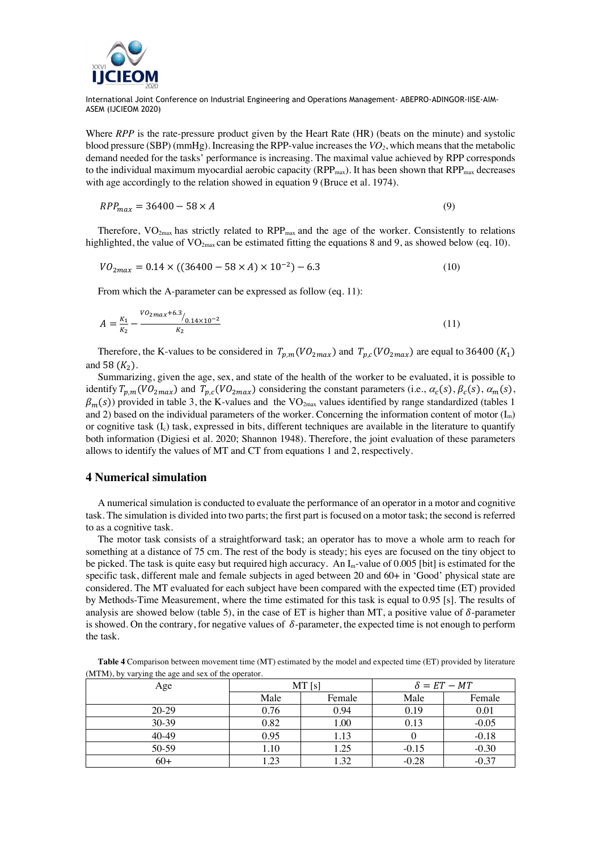

Where *RPP* is the rate-pressure product given by the Heart Rate (HR) (beats on the minute) and systolic blood pressure (SBP) (mmHg). Increasing the RPP-value increasesthe *VO2*, which means that the metabolic demand needed for the tasks' performance is increasing. The maximal value achieved by RPP corresponds to the individual maximum myocardial aerobic capacity ( $RPP_{\text{max}}$ ). It has been shown that  $RPP_{\text{max}}$  decreases with age accordingly to the relation showed in equation 9 (Bruce et al. 1974).

$$
RPP_{max} = 36400 - 58 \times A \tag{9}
$$

Therefore,  $VO_{2max}$  has strictly related to  $RPP_{max}$  and the age of the worker. Consistently to relations highlighted, the value of  $VO_{2max}$  can be estimated fitting the equations 8 and 9, as showed below (eq. 10).

$$
VO_{2max} = 0.14 \times ((36400 - 58 \times A) \times 10^{-2}) - 6.3
$$
 (10)

From which the A-parameter can be expressed as follow (eq. 11):

$$
A = \frac{k_1}{k_2} - \frac{V_2 m a x + 6.3}{k_2} / \frac{0.14 \times 10^{-2}}{k_2}
$$
 (11)

Therefore, the K-values to be considered in  $T_{p,m}(VO_{2max})$  and  $T_{p,c}(VO_{2max})$  are equal to 36400 (K<sub>1</sub>) and 58  $(K_2)$ .

Summarizing, given the age, sex, and state of the health of the worker to be evaluated, it is possible to identify  $T_{p,m}(VO_{2max})$  and  $T_{p,c}(VO_{2max})$  considering the constant parameters (i.e.,  $\alpha_c(s)$ ,  $\beta_c(s)$ ,  $\alpha_m(s)$ ,  $\beta_m(s)$ ) provided in table 3, the K-values and the VO<sub>2max</sub> values identified by range standardized (tables 1) and 2) based on the individual parameters of the worker. Concerning the information content of motor  $(I_m)$ or cognitive task  $(I_c)$  task, expressed in bits, different techniques are available in the literature to quantify both information (Digiesi et al. 2020; Shannon 1948). Therefore, the joint evaluation of these parameters allows to identify the values of MT and CT from equations 1 and 2, respectively.

#### **4 Numerical simulation**

A numerical simulation is conducted to evaluate the performance of an operator in a motor and cognitive task. The simulation is divided into two parts; the first part is focused on a motor task; the second is referred to as a cognitive task.

The motor task consists of a straightforward task; an operator has to move a whole arm to reach for something at a distance of 75 cm. The rest of the body is steady; his eyes are focused on the tiny object to be picked. The task is quite easy but required high accuracy. An  $I_m$ -value of 0.005 [bit] is estimated for the specific task, different male and female subjects in aged between 20 and 60+ in 'Good' physical state are considered. The MT evaluated for each subject have been compared with the expected time (ET) provided by Methods-Time Measurement, where the time estimated for this task is equal to 0.95 [s]. The results of analysis are showed below (table 5), in the case of ET is higher than MT, a positive value of  $\delta$ -parameter is showed. On the contrary, for negative values of  $\delta$ -parameter, the expected time is not enough to perform the task.

| Age     | --- -- ---- ----------- | MT[s]  |         | $\delta = ET - MT$ |  |  |
|---------|-------------------------|--------|---------|--------------------|--|--|
|         | Male                    | Female | Male    | Female             |  |  |
| $20-29$ | 0.76                    | 0.94   | 0.19    | 0.01               |  |  |
| 30-39   | 0.82                    | 1.00   | 0.13    | $-0.05$            |  |  |
| 40-49   | 0.95                    | 1.13   |         | $-0.18$            |  |  |
| 50-59   | 1.10                    | 1.25   | $-0.15$ | $-0.30$            |  |  |
| $60+$   | 1.23                    | 1.32   | $-0.28$ | $-0.37$            |  |  |

**Table 4** Comparison between movement time (MT) estimated by the model and expected time (ET) provided by literature (MTM), by varying the age and sex of the operator.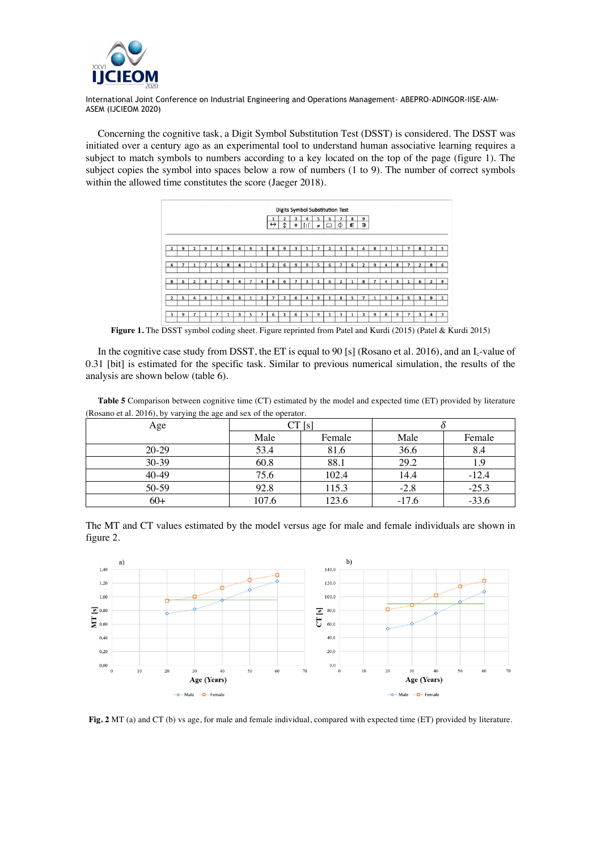

Concerning the cognitive task, a Digit Symbol Substitution Test (DSST) is considered. The DSST was initiated over a century ago as an experimental tool to understand human associative learning requires a subject to match symbols to numbers according to a key located on the top of the page (figure 1). The subject copies the symbol into spaces below a row of numbers (1 to 9). The number of correct symbols within the allowed time constitutes the score (Jaeger 2018).

|                |   |                          |   |   |   |   |   |                          |                   |              |          |   |    | <b>Digits Symbol Substitution Test</b> |          |   |              |              |   |                        |                          |               |                |                         |
|----------------|---|--------------------------|---|---|---|---|---|--------------------------|-------------------|--------------|----------|---|----|----------------------------------------|----------|---|--------------|--------------|---|------------------------|--------------------------|---------------|----------------|-------------------------|
|                |   |                          |   |   |   |   |   |                          |                   |              | 3        |   | 5  | 6                                      | 7        | 8 | 9            |              |   |                        |                          |               |                |                         |
|                |   |                          |   |   |   |   |   |                          | $\leftrightarrow$ | $\mathbf{r}$ | $\equiv$ |   | ¥. |                                        | Φ        | Е | э            |              |   |                        |                          |               |                |                         |
|                |   |                          |   |   |   |   |   |                          |                   |              |          |   |    |                                        |          |   |              |              |   |                        |                          |               |                |                         |
|                |   |                          |   |   |   |   |   |                          |                   |              |          |   |    |                                        |          |   |              |              |   |                        |                          |               |                |                         |
| $\overline{2}$ | ۹ | $\overline{\phantom{a}}$ | 9 | Δ | 9 | Δ | 9 |                          | 8                 | 9            | 3        |   |    | י                                      | 3        | 6 | 4            | 8            | 3 |                        | 7                        | 8             | $\overline{2}$ | 5                       |
|                |   |                          |   |   |   |   |   |                          |                   |              |          |   |    |                                        |          |   |              |              |   |                        |                          |               |                |                         |
|                |   |                          |   |   |   |   |   |                          |                   |              |          |   |    |                                        |          |   |              |              |   |                        |                          |               |                |                         |
|                |   |                          |   |   | 8 |   |   | 5                        | n                 | 6            | q        | q | 5  | 6                                      |          | 6 | <sup>2</sup> | 9            | Λ | 8                      | ٠                        | $\rightarrow$ | 8              | 6                       |
|                |   |                          |   |   |   |   |   |                          |                   |              |          |   |    |                                        |          |   |              |              |   |                        |                          |               |                |                         |
| 8              | 6 |                          | R | 2 | 9 |   |   | 4                        | R                 | 6            | n        |   |    | 6                                      | <b>D</b> |   | 8            |              |   | ٩                      |                          | 6             | $\overline{2}$ | 9                       |
|                |   |                          |   |   |   |   |   |                          |                   |              |          |   |    |                                        |          |   |              |              |   |                        |                          |               |                |                         |
|                |   |                          |   |   |   |   |   |                          |                   |              |          |   |    |                                        |          |   |              |              |   |                        |                          |               |                |                         |
| $\overline{2}$ | с |                          | 6 |   | 6 | ٩ |   | $\mathbf{\hat{z}}$       | ٠                 | C            | 6        |   | q  |                                        | R        | ς |              |              | 5 | $\boldsymbol{\Lambda}$ | 5                        | 3             | 9              | $\overline{2}$          |
|                |   |                          |   |   |   |   |   |                          |                   |              |          |   |    |                                        |          |   |              |              |   |                        |                          |               |                |                         |
|                |   |                          |   |   |   |   |   |                          |                   |              |          |   |    |                                        |          |   |              |              |   |                        |                          |               |                |                         |
| 3              | 9 | э                        |   |   |   | 3 | 5 | $\overline{\phantom{a}}$ | 6                 | и            | 6        | 5 | 9  |                                        | 3        |   | 3            | $\mathbf{Q}$ | 8 | 9                      | $\overline{\phantom{a}}$ | 3             | 4              | $\overline{\mathbf{3}}$ |

**Figure 1.** The DSST symbol coding sheet. Figure reprinted from Patel and Kurdi (2015) (Patel & Kurdi 2015)

In the cognitive case study from DSST, the ET is equal to 90 [s] (Rosano et al. 2016), and an  $I_c$ -value of 0.31 [bit] is estimated for the specific task. Similar to previous numerical simulation, the results of the analysis are shown below (table 6).

**Table 5** Comparison between cognitive time (CT) estimated by the model and expected time (ET) provided by literature (Rosano et al. 2016), by varying the age and sex of the operator.

| , , ,     |       |        |         |         |  |  |
|-----------|-------|--------|---------|---------|--|--|
| Age       |       | CT[s]  |         |         |  |  |
|           | Male  | Female | Male    | Female  |  |  |
| $20 - 29$ | 53.4  | 81.6   | 36.6    | 8.4     |  |  |
| 30-39     | 60.8  | 88.1   | 29.2    | 1.9     |  |  |
| 40-49     | 75.6  | 102.4  | 14.4    | $-12.4$ |  |  |
| 50-59     | 92.8  | 115.3  | $-2.8$  | $-25.3$ |  |  |
| $60+$     | 107.6 | 123.6  | $-17.6$ | $-33.6$ |  |  |

The MT and CT values estimated by the model versus age for male and female individuals are shown in figure 2.



**Fig. 2** MT (a) and CT (b) vs age, for male and female individual, compared with expected time (ET) provided by literature.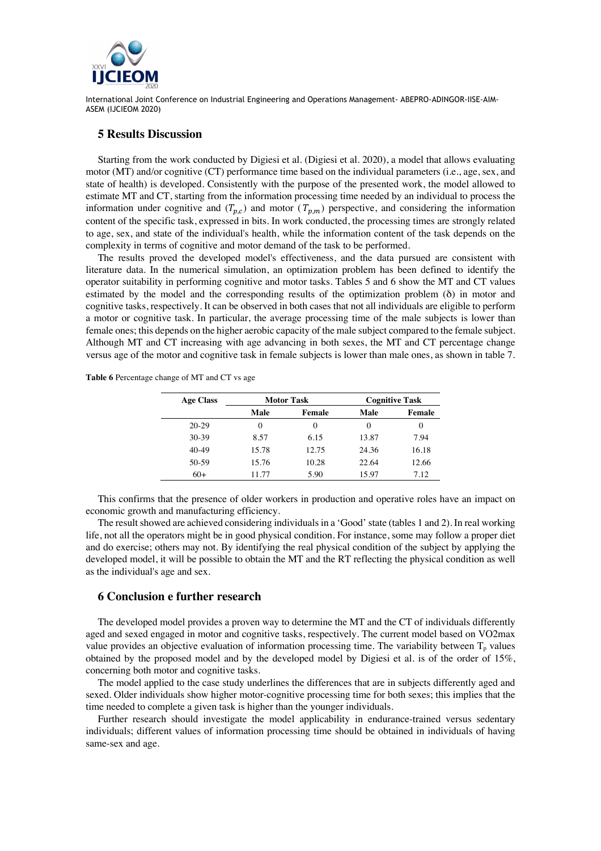

## **5 Results Discussion**

Starting from the work conducted by Digiesi et al. (Digiesi et al. 2020), a model that allows evaluating motor (MT) and/or cognitive (CT) performance time based on the individual parameters (i.e., age, sex, and state of health) is developed. Consistently with the purpose of the presented work, the model allowed to estimate MT and CT, starting from the information processing time needed by an individual to process the information under cognitive and  $(T_{p,c})$  and motor  $(T_{p,m})$  perspective, and considering the information content of the specific task, expressed in bits. In work conducted, the processing times are strongly related to age, sex, and state of the individual's health, while the information content of the task depends on the complexity in terms of cognitive and motor demand of the task to be performed.

The results proved the developed model's effectiveness, and the data pursued are consistent with literature data. In the numerical simulation, an optimization problem has been defined to identify the operator suitability in performing cognitive and motor tasks. Tables 5 and 6 show the MT and CT values estimated by the model and the corresponding results of the optimization problem (δ) in motor and cognitive tasks, respectively. It can be observed in both cases that not all individuals are eligible to perform a motor or cognitive task. In particular, the average processing time of the male subjects is lower than female ones; this depends on the higher aerobic capacity of the male subject compared to the female subject. Although MT and CT increasing with age advancing in both sexes, the MT and CT percentage change versus age of the motor and cognitive task in female subjects is lower than male ones, as shown in table 7.

**Table 6** Percentage change of MT and CT vs age

| <b>Age Class</b> |       | <b>Motor Task</b> | <b>Cognitive Task</b> |          |  |  |  |  |
|------------------|-------|-------------------|-----------------------|----------|--|--|--|--|
|                  | Male  | Female            | Male                  | Female   |  |  |  |  |
| $20-29$          | 0     |                   | $\theta$              | $\theta$ |  |  |  |  |
| $30 - 39$        | 8.57  | 6.15              | 13.87                 | 7.94     |  |  |  |  |
| $40-49$          | 15.78 | 12.75             | 24.36                 | 16.18    |  |  |  |  |
| $50-59$          | 15.76 | 10.28             | 22.64                 | 12.66    |  |  |  |  |
| $60+$            | 11.77 | 5.90              | 15.97                 | 7.12     |  |  |  |  |

This confirms that the presence of older workers in production and operative roles have an impact on economic growth and manufacturing efficiency.

The result showed are achieved considering individuals in a 'Good' state (tables 1 and 2). In real working life, not all the operators might be in good physical condition. For instance, some may follow a proper diet and do exercise; others may not. By identifying the real physical condition of the subject by applying the developed model, it will be possible to obtain the MT and the RT reflecting the physical condition as well as the individual's age and sex.

# **6 Conclusion e further research**

The developed model provides a proven way to determine the MT and the CT of individuals differently aged and sexed engaged in motor and cognitive tasks, respectively. The current model based on VO2max value provides an objective evaluation of information processing time. The variability between  $T_p$  values obtained by the proposed model and by the developed model by Digiesi et al. is of the order of 15%, concerning both motor and cognitive tasks.

The model applied to the case study underlines the differences that are in subjects differently aged and sexed. Older individuals show higher motor-cognitive processing time for both sexes; this implies that the time needed to complete a given task is higher than the younger individuals.

Further research should investigate the model applicability in endurance-trained versus sedentary individuals; different values of information processing time should be obtained in individuals of having same-sex and age.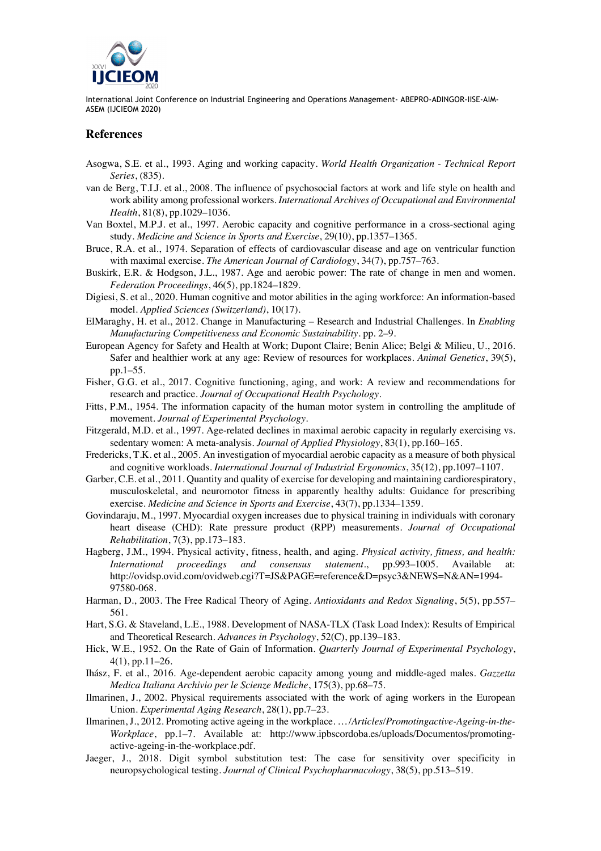

## **References**

- Asogwa, S.E. et al., 1993. Aging and working capacity. *World Health Organization - Technical Report Series*, (835).
- van de Berg, T.I.J. et al., 2008. The influence of psychosocial factors at work and life style on health and work ability among professional workers. *International Archives of Occupational and Environmental Health*, 81(8), pp.1029–1036.
- Van Boxtel, M.P.J. et al., 1997. Aerobic capacity and cognitive performance in a cross-sectional aging study. *Medicine and Science in Sports and Exercise*, 29(10), pp.1357–1365.
- Bruce, R.A. et al., 1974. Separation of effects of cardiovascular disease and age on ventricular function with maximal exercise. *The American Journal of Cardiology*, 34(7), pp.757–763.
- Buskirk, E.R. & Hodgson, J.L., 1987. Age and aerobic power: The rate of change in men and women. *Federation Proceedings*, 46(5), pp.1824–1829.
- Digiesi, S. et al., 2020. Human cognitive and motor abilities in the aging workforce: An information-based model. *Applied Sciences (Switzerland)*, 10(17).
- ElMaraghy, H. et al., 2012. Change in Manufacturing Research and Industrial Challenges. In *Enabling Manufacturing Competitiveness and Economic Sustainability*. pp. 2–9.
- European Agency for Safety and Health at Work; Dupont Claire; Benin Alice; Belgi & Milieu, U., 2016. Safer and healthier work at any age: Review of resources for workplaces. *Animal Genetics*, 39(5), pp.1–55.
- Fisher, G.G. et al., 2017. Cognitive functioning, aging, and work: A review and recommendations for research and practice. *Journal of Occupational Health Psychology*.
- Fitts, P.M., 1954. The information capacity of the human motor system in controlling the amplitude of movement. *Journal of Experimental Psychology*.
- Fitzgerald, M.D. et al., 1997. Age-related declines in maximal aerobic capacity in regularly exercising vs. sedentary women: A meta-analysis. *Journal of Applied Physiology*, 83(1), pp.160–165.
- Fredericks, T.K. et al., 2005. An investigation of myocardial aerobic capacity as a measure of both physical and cognitive workloads. *International Journal of Industrial Ergonomics*, 35(12), pp.1097–1107.
- Garber, C.E. et al., 2011. Quantity and quality of exercise for developing and maintaining cardiorespiratory, musculoskeletal, and neuromotor fitness in apparently healthy adults: Guidance for prescribing exercise. *Medicine and Science in Sports and Exercise*, 43(7), pp.1334–1359.
- Govindaraju, M., 1997. Myocardial oxygen increases due to physical training in individuals with coronary heart disease (CHD): Rate pressure product (RPP) measurements. *Journal of Occupational Rehabilitation*, 7(3), pp.173–183.
- Hagberg, J.M., 1994. Physical activity, fitness, health, and aging. *Physical activity, fitness, and health: International proceedings and consensus statement.*, pp.993–1005. Available at: http://ovidsp.ovid.com/ovidweb.cgi?T=JS&PAGE=reference&D=psyc3&NEWS=N&AN=1994- 97580-068.
- Harman, D., 2003. The Free Radical Theory of Aging. *Antioxidants and Redox Signaling*, 5(5), pp.557– 561.
- Hart, S.G. & Staveland, L.E., 1988. Development of NASA-TLX (Task Load Index): Results of Empirical and Theoretical Research. *Advances in Psychology*, 52(C), pp.139–183.
- Hick, W.E., 1952. On the Rate of Gain of Information. *Quarterly Journal of Experimental Psychology*, 4(1), pp.11–26.
- Ihász, F. et al., 2016. Age-dependent aerobic capacity among young and middle-aged males. *Gazzetta Medica Italiana Archivio per le Scienze Mediche*, 175(3), pp.68–75.
- Ilmarinen, J., 2002. Physical requirements associated with the work of aging workers in the European Union. *Experimental Aging Research*, 28(1), pp.7–23.
- Ilmarinen, J., 2012. Promoting active ageing in the workplace. *… /Articles/Promotingactive-Ageing-in-the-Workplace*, pp.1–7. Available at: http://www.ipbscordoba.es/uploads/Documentos/promotingactive-ageing-in-the-workplace.pdf.
- Jaeger, J., 2018. Digit symbol substitution test: The case for sensitivity over specificity in neuropsychological testing. *Journal of Clinical Psychopharmacology*, 38(5), pp.513–519.